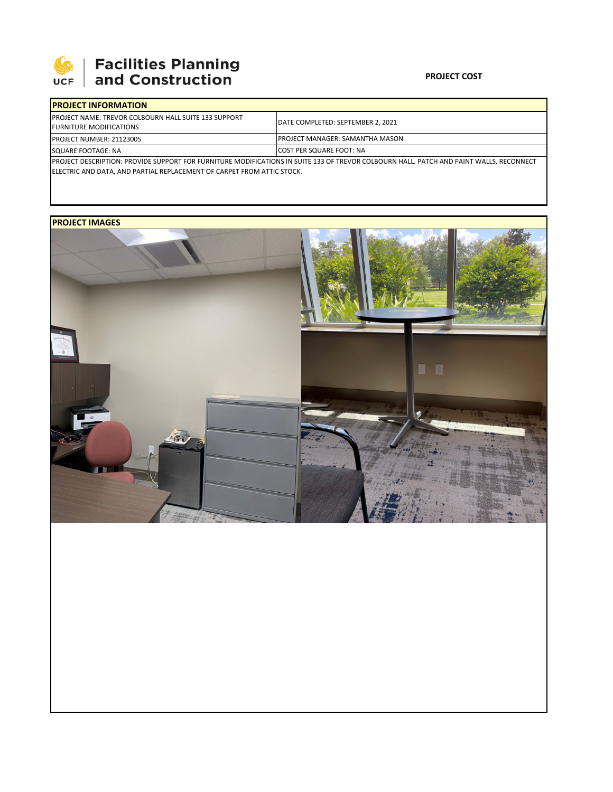

## **SEPTE AND Facilities Planning**<br>UCF and Construction

### **PROJECT COST**

| <b>IPROJECT INFORMATION</b>                                                                                                             |                                        |  |  |  |
|-----------------------------------------------------------------------------------------------------------------------------------------|----------------------------------------|--|--|--|
| <b>IPROJECT NAME: TREVOR COLBOURN HALL SUITE 133 SUPPORT</b><br><b>FURNITURE MODIFICATIONS</b>                                          | DATE COMPLETED: SEPTEMBER 2, 2021      |  |  |  |
| <b>PROJECT NUMBER: 21123005</b>                                                                                                         | <b>PROJECT MANAGER: SAMANTHA MASON</b> |  |  |  |
| SQUARE FOOTAGE: NA                                                                                                                      | <b>ICOST PER SQUARE FOOT: NA</b>       |  |  |  |
| PROJECT DESCRIPTION: PROVIDE SUPPORT FOR FURNITURE MODIFICATIONS IN SUITE 133 OF TREVOR COLBOURN HALL. PATCH AND PAINT WALLS, RECONNECT |                                        |  |  |  |

ELECTRIC AND DATA, AND PARTIAL REPLACEMENT OF CARPET FROM ATTIC STOCK.

## **PROJECT IMAGES**